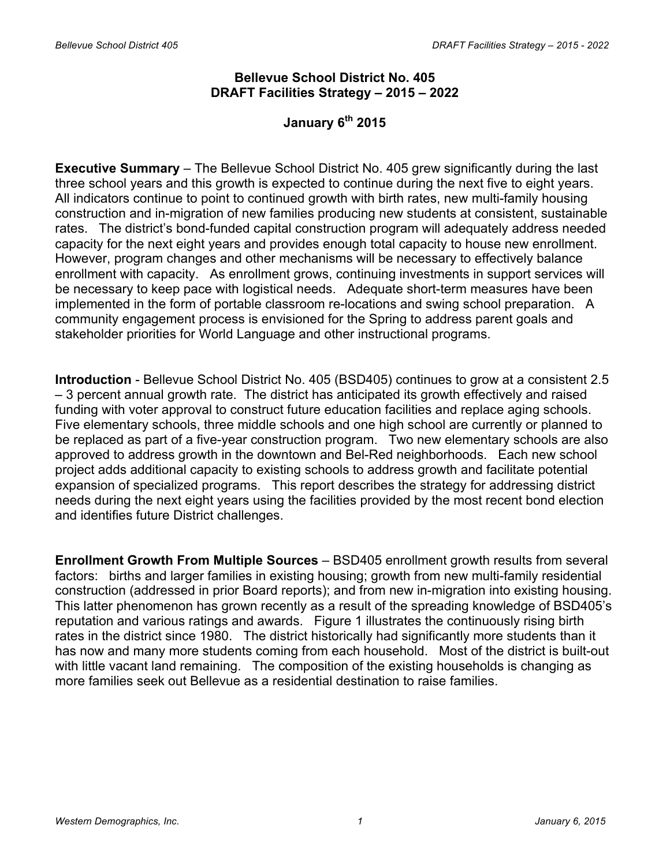# **Bellevue School District No. 405 DRAFT Facilities Strategy – 2015 – 2022**

# **January 6th 2015**

**Executive Summary** – The Bellevue School District No. 405 grew significantly during the last three school years and this growth is expected to continue during the next five to eight years. All indicators continue to point to continued growth with birth rates, new multi-family housing construction and in-migration of new families producing new students at consistent, sustainable rates. The district's bond-funded capital construction program will adequately address needed capacity for the next eight years and provides enough total capacity to house new enrollment. However, program changes and other mechanisms will be necessary to effectively balance enrollment with capacity. As enrollment grows, continuing investments in support services will be necessary to keep pace with logistical needs. Adequate short-term measures have been implemented in the form of portable classroom re-locations and swing school preparation. A community engagement process is envisioned for the Spring to address parent goals and stakeholder priorities for World Language and other instructional programs.

**Introduction** - Bellevue School District No. 405 (BSD405) continues to grow at a consistent 2.5 – 3 percent annual growth rate. The district has anticipated its growth effectively and raised funding with voter approval to construct future education facilities and replace aging schools. Five elementary schools, three middle schools and one high school are currently or planned to be replaced as part of a five-year construction program. Two new elementary schools are also approved to address growth in the downtown and Bel-Red neighborhoods. Each new school project adds additional capacity to existing schools to address growth and facilitate potential expansion of specialized programs. This report describes the strategy for addressing district needs during the next eight years using the facilities provided by the most recent bond election and identifies future District challenges.

**Enrollment Growth From Multiple Sources** – BSD405 enrollment growth results from several factors: births and larger families in existing housing; growth from new multi-family residential construction (addressed in prior Board reports); and from new in-migration into existing housing. This latter phenomenon has grown recently as a result of the spreading knowledge of BSD405's reputation and various ratings and awards. Figure 1 illustrates the continuously rising birth rates in the district since 1980. The district historically had significantly more students than it has now and many more students coming from each household. Most of the district is built-out with little vacant land remaining. The composition of the existing households is changing as more families seek out Bellevue as a residential destination to raise families.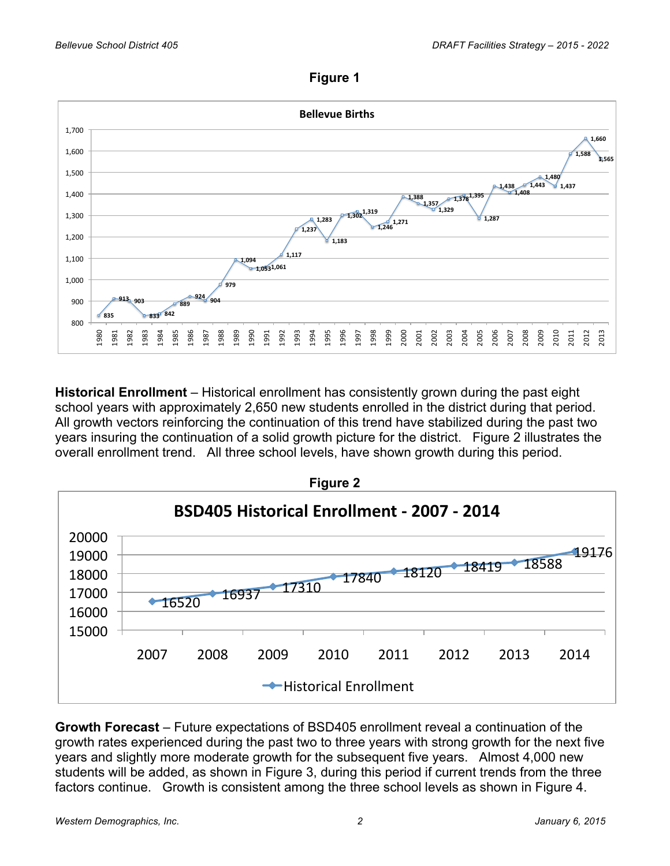**Figure 1**



**Historical Enrollment** – Historical enrollment has consistently grown during the past eight school years with approximately 2,650 new students enrolled in the district during that period. All growth vectors reinforcing the continuation of this trend have stabilized during the past two years insuring the continuation of a solid growth picture for the district. Figure 2 illustrates the overall enrollment trend. All three school levels, have shown growth during this period.



**Growth Forecast** – Future expectations of BSD405 enrollment reveal a continuation of the growth rates experienced during the past two to three years with strong growth for the next five years and slightly more moderate growth for the subsequent five years. Almost 4,000 new students will be added, as shown in Figure 3, during this period if current trends from the three factors continue. Growth is consistent among the three school levels as shown in Figure 4.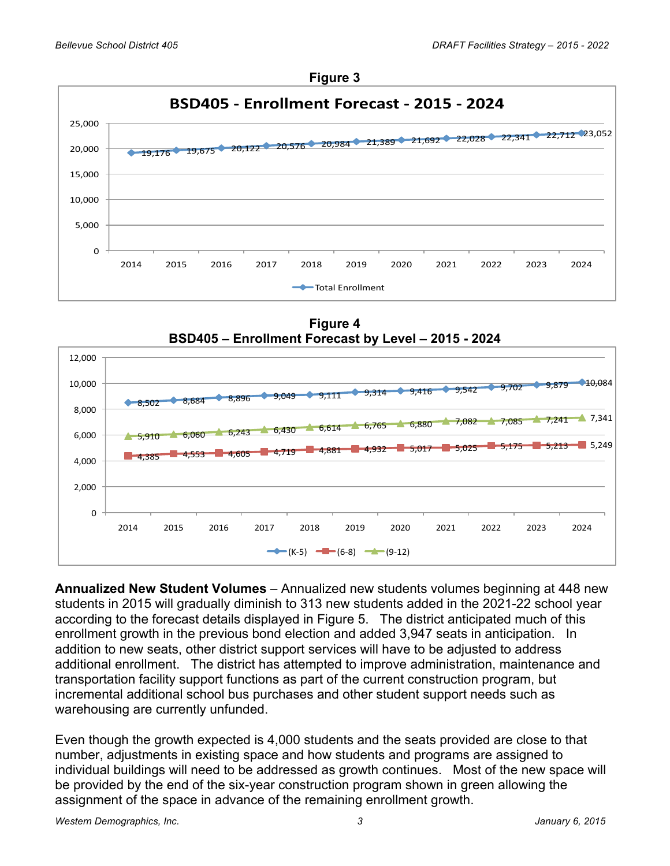



**Figure 4 BSD405 – Enrollment Forecast by Level – 2015 - 2024**



**Annualized New Student Volumes** – Annualized new students volumes beginning at 448 new students in 2015 will gradually diminish to 313 new students added in the 2021-22 school year according to the forecast details displayed in Figure 5. The district anticipated much of this enrollment growth in the previous bond election and added 3,947 seats in anticipation. In addition to new seats, other district support services will have to be adjusted to address additional enrollment. The district has attempted to improve administration, maintenance and transportation facility support functions as part of the current construction program, but incremental additional school bus purchases and other student support needs such as warehousing are currently unfunded.

Even though the growth expected is 4,000 students and the seats provided are close to that number, adjustments in existing space and how students and programs are assigned to individual buildings will need to be addressed as growth continues. Most of the new space will be provided by the end of the six-year construction program shown in green allowing the assignment of the space in advance of the remaining enrollment growth.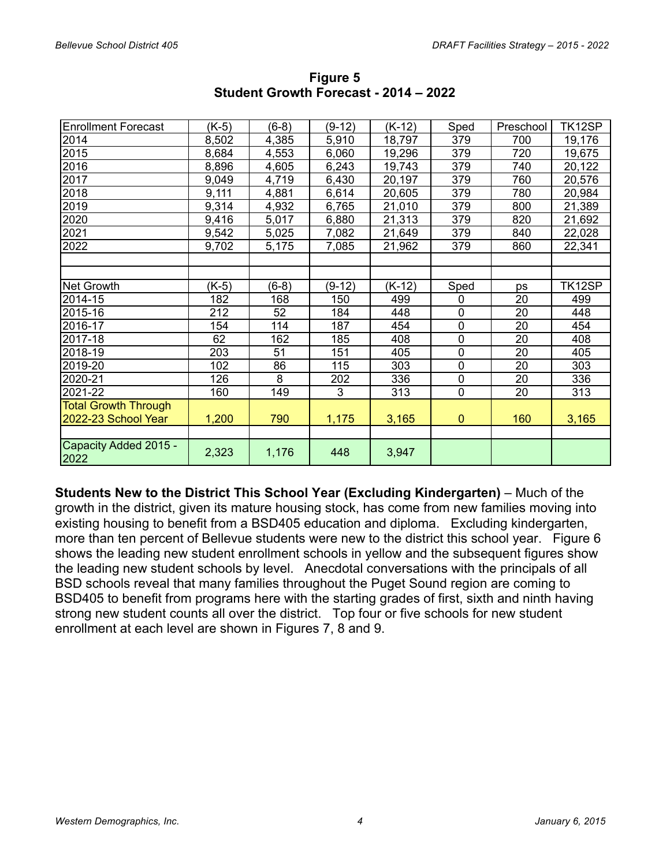| <b>Enrollment Forecast</b>    | (K-5) | $(6-8)$ | $(9-12)$ | $(K-12)$ | Sped         | Preschool | TK12SP |
|-------------------------------|-------|---------|----------|----------|--------------|-----------|--------|
| 2014                          | 8,502 | 4,385   | 5,910    | 18,797   | 379          | 700       | 19,176 |
| 2015                          | 8,684 | 4,553   | 6,060    | 19,296   | 379          | 720       | 19,675 |
| 2016                          | 8,896 | 4,605   | 6,243    | 19,743   | 379          | 740       | 20,122 |
| 2017                          | 9,049 | 4,719   | 6,430    | 20,197   | 379          | 760       | 20,576 |
| 2018                          | 9,111 | 4,881   | 6,614    | 20,605   | 379          | 780       | 20,984 |
| 2019                          | 9,314 | 4,932   | 6,765    | 21,010   | 379          | 800       | 21,389 |
| 2020                          | 9,416 | 5,017   | 6,880    | 21,313   | 379          | 820       | 21,692 |
| 2021                          | 9,542 | 5,025   | 7,082    | 21,649   | 379          | 840       | 22,028 |
| 2022                          | 9,702 | 5,175   | 7,085    | 21,962   | 379          | 860       | 22,341 |
|                               |       |         |          |          |              |           |        |
|                               |       |         |          |          |              |           |        |
| Net Growth                    | (K-5) | $(6-8)$ | $(9-12)$ | $(K-12)$ | Sped         | ps        | TK12SP |
| 2014-15                       | 182   | 168     | 150      | 499      | $\mathbf 0$  | 20        | 499    |
| 2015-16                       | 212   | 52      | 184      | 448      | $\pmb{0}$    | 20        | 448    |
| 2016-17                       | 154   | 114     | 187      | 454      | $\mathbf 0$  | 20        | 454    |
| 2017-18                       | 62    | 162     | 185      | 408      | $\mathbf 0$  | 20        | 408    |
| 2018-19                       | 203   | 51      | 151      | 405      | $\mathbf 0$  | 20        | 405    |
| 2019-20                       | 102   | 86      | 115      | 303      | $\mathbf 0$  | 20        | 303    |
| 2020-21                       | 126   | 8       | 202      | 336      | $\pmb{0}$    | 20        | 336    |
| 2021-22                       | 160   | 149     | 3        | 313      | $\mathbf 0$  | 20        | 313    |
| <b>Total Growth Through</b>   |       |         |          |          |              |           |        |
| 2022-23 School Year           | 1,200 | 790     | 1,175    | 3,165    | $\mathbf{0}$ | 160       | 3,165  |
|                               |       |         |          |          |              |           |        |
| Capacity Added 2015 -<br>2022 | 2,323 | 1,176   | 448      | 3,947    |              |           |        |

**Figure 5 Student Growth Forecast - 2014 – 2022**

**Students New to the District This School Year (Excluding Kindergarten)** – Much of the growth in the district, given its mature housing stock, has come from new families moving into existing housing to benefit from a BSD405 education and diploma. Excluding kindergarten, more than ten percent of Bellevue students were new to the district this school year. Figure 6 shows the leading new student enrollment schools in yellow and the subsequent figures show the leading new student schools by level. Anecdotal conversations with the principals of all BSD schools reveal that many families throughout the Puget Sound region are coming to BSD405 to benefit from programs here with the starting grades of first, sixth and ninth having strong new student counts all over the district. Top four or five schools for new student enrollment at each level are shown in Figures 7, 8 and 9.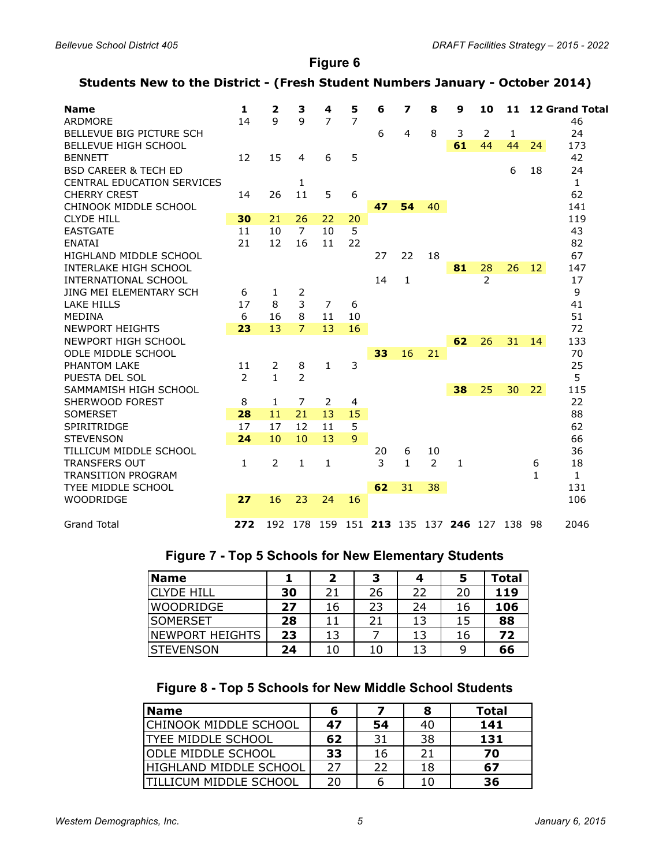**Figure 6**

### **Students New to the District - (Fresh Student Numbers January - October 2014)**

| <b>Name</b>                       | 1              | 2            | з              | 4  | 5              | 6  | 7              | 8  | 9                                   | 10             | 11           |              | <b>12 Grand Total</b> |
|-----------------------------------|----------------|--------------|----------------|----|----------------|----|----------------|----|-------------------------------------|----------------|--------------|--------------|-----------------------|
| ARDMORE                           | 14             | 9            | $\mathbf{q}$   | 7  | $\overline{7}$ |    |                |    |                                     |                |              |              | 46                    |
| BELLEVUE BIG PICTURE SCH          |                |              |                |    |                | 6  | $\overline{4}$ | 8  | 3                                   | 2              | $\mathbf{1}$ |              | 24                    |
| BELLEVUE HIGH SCHOOL              |                |              |                |    |                |    |                |    | 61                                  | 44             | 44           | 24           | 173                   |
| <b>BENNETT</b>                    | 12             | 15           | 4              | 6  | 5              |    |                |    |                                     |                |              |              | 42                    |
| <b>BSD CAREER &amp; TECH ED</b>   |                |              |                |    |                |    |                |    |                                     |                | 6            | 18           | 24                    |
| <b>CENTRAL EDUCATION SERVICES</b> |                |              | 1              |    |                |    |                |    |                                     |                |              |              | $\mathbf{1}$          |
| <b>CHERRY CREST</b>               | 14             | 26           | 11             | 5  | 6              |    |                |    |                                     |                |              |              | 62                    |
| CHINOOK MIDDLE SCHOOL             |                |              |                |    |                | 47 | 54             | 40 |                                     |                |              |              | 141                   |
| <b>CLYDE HILL</b>                 | 30             | 21           | 26             | 22 | 20             |    |                |    |                                     |                |              |              | 119                   |
| <b>EASTGATE</b>                   | 11             | 10           | $\overline{7}$ | 10 | 5              |    |                |    |                                     |                |              |              | 43                    |
| <b>ENATAI</b>                     | 21             | 12           | 16             | 11 | 22             |    |                |    |                                     |                |              |              | 82                    |
| HIGHLAND MIDDLE SCHOOL            |                |              |                |    |                | 27 | 22             | 18 |                                     |                |              |              | 67                    |
| INTERLAKE HIGH SCHOOL             |                |              |                |    |                |    |                |    | 81                                  | 28             | 26           | 12           | 147                   |
| <b>INTERNATIONAL SCHOOL</b>       |                |              |                |    |                | 14 | $\mathbf{1}$   |    |                                     | $\overline{2}$ |              |              | 17                    |
| JING MEI ELEMENTARY SCH           | 6              | 1            | 2              |    |                |    |                |    |                                     |                |              |              | 9                     |
| <b>LAKE HILLS</b>                 | 17             | 8            | 3              | 7  | 6              |    |                |    |                                     |                |              |              | 41                    |
| <b>MEDINA</b>                     | 6              | 16           | 8              | 11 | 10             |    |                |    |                                     |                |              |              | 51                    |
| <b>NEWPORT HEIGHTS</b>            | 23             | 13           | $\overline{7}$ | 13 | 16             |    |                |    |                                     |                |              |              | 72                    |
| NEWPORT HIGH SCHOOL               |                |              |                |    |                |    |                |    | 62                                  | 26             | 31           | 14           | 133                   |
| ODLE MIDDLE SCHOOL                |                |              |                |    |                | 33 | 16             | 21 |                                     |                |              |              | 70                    |
| PHANTOM LAKE                      | 11             | 2            | 8              | 1  | 3              |    |                |    |                                     |                |              |              | 25                    |
| PUESTA DEL SOL                    | $\overline{2}$ | $\mathbf{1}$ | 2              |    |                |    |                |    |                                     |                |              |              | 5                     |
| SAMMAMISH HIGH SCHOOL             |                |              |                |    |                |    |                |    | 38                                  | 25             | 30           | 22           | 115                   |
| SHERWOOD FOREST                   | 8              | 1            | 7              | 2  | 4              |    |                |    |                                     |                |              |              | 22                    |
| <b>SOMERSET</b>                   | 28             | 11           | 21             | 13 | 15             |    |                |    |                                     |                |              |              | 88                    |
| <b>SPIRITRIDGE</b>                | 17             | 17           | 12             | 11 | 5              |    |                |    |                                     |                |              |              | 62                    |
| <b>STEVENSON</b>                  | 24             | 10           | 10             | 13 | $\mathbf{Q}$   |    |                |    |                                     |                |              |              | 66                    |
| TILLICUM MIDDLE SCHOOL            |                |              |                |    |                | 20 | 6              | 10 |                                     |                |              |              | 36                    |
| <b>TRANSFERS OUT</b>              | 1              | 2            | 1              | 1  |                | 3  | $\mathbf{1}$   | 2  | $\mathbf{1}$                        |                |              | 6            | 18                    |
| <b>TRANSITION PROGRAM</b>         |                |              |                |    |                |    |                |    |                                     |                |              | $\mathbf{1}$ | $\mathbf{1}$          |
| <b>TYEE MIDDLE SCHOOL</b>         |                |              |                |    |                | 62 | 31             | 38 |                                     |                |              |              | 131                   |
| WOODRIDGE                         | 27             | 16           | 23             | 24 | 16             |    |                |    |                                     |                |              |              | 106                   |
|                                   |                |              |                |    |                |    |                |    |                                     |                |              |              |                       |
| <b>Grand Total</b>                | 272            |              |                |    |                |    |                |    | 192 178 159 151 213 135 137 246 127 |                | 138 98       |              | 2046                  |

## **Figure 7 - Top 5 Schools for New Elementary Students**

| <b>Name</b>        |    |    | з  |    | 5  | Total |
|--------------------|----|----|----|----|----|-------|
| <b>ICLYDE HILL</b> | 30 | 21 | 26 | 22 | 20 | 119   |
| WOODRIDGE          | 27 | 16 | 23 | 24 | 16 | 106   |
| <b>ISOMERSET</b>   | 28 | 11 | 21 |    | 15 | 88    |
| INEWPORT HEIGHTS   | 23 | 13 |    |    | 16 | 72    |
| ISTEVENSON         | 24 | 10 | 10 |    |    | 66    |

# **Figure 8 - Top 5 Schools for New Middle School Students**

| <b>Name</b>                    |    |    |    | Total |
|--------------------------------|----|----|----|-------|
| <b>CHINOOK MIDDLE SCHOOL</b>   | 47 | 54 | 40 | 141   |
| <b>ITYEE MIDDLE SCHOOL</b>     | 62 | 31 | 38 | 131   |
| <b>ODLE MIDDLE SCHOOL</b>      | 33 | 16 | 21 | 70    |
| HIGHLAND MIDDLE SCHOOL         | 27 | 22 | 18 | 67    |
| <b>ITILLICUM MIDDLE SCHOOL</b> | 20 |    |    | 36    |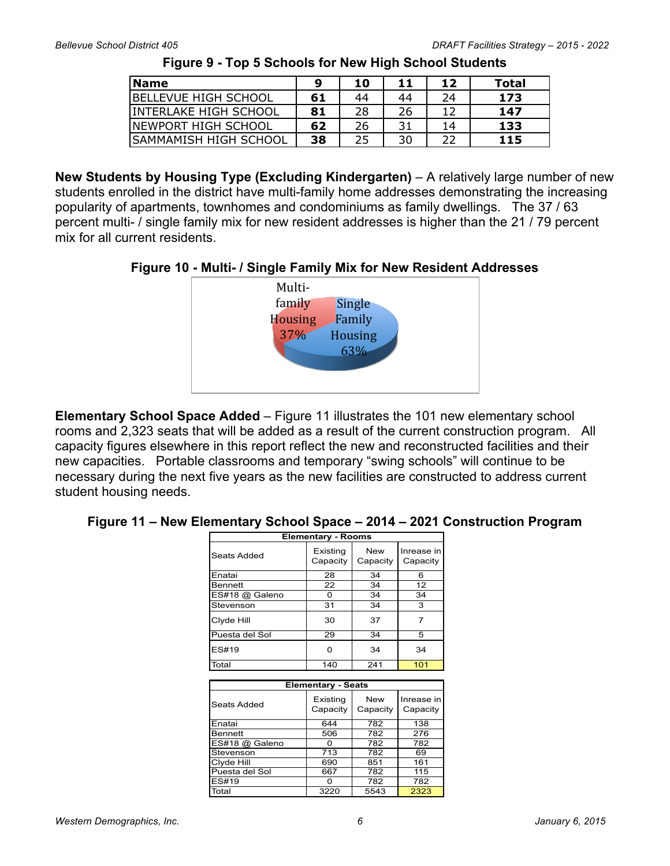| <b>Name</b>            | q  | 10 | 11  | 12 | Total |
|------------------------|----|----|-----|----|-------|
| BELLEVUE HIGH SCHOOL   | 61 | 44 | 44  | 24 | 173   |
| lINTERLAKE HIGH SCHOOL | 81 | 28 | 26  |    | 147   |
| INEWPORT HIGH SCHOOL   | 62 | 26 | ר כ | 14 | 133   |
| ISAMMAMISH HIGH SCHOOL | 38 | 25 | 30  |    | 115   |

**Figure 9 - Top 5 Schools for New High School Students**

**New Students by Housing Type (Excluding Kindergarten)** – A relatively large number of new students enrolled in the district have multi-family home addresses demonstrating the increasing popularity of apartments, townhomes and condominiums as family dwellings. The 37 / 63 percent multi- / single family mix for new resident addresses is higher than the 21 / 79 percent mix for all current residents.

**Figure 10 - Multi- / Single Family Mix for New Resident Addresses**



**Elementary School Space Added** – Figure 11 illustrates the 101 new elementary school rooms and 2,323 seats that will be added as a result of the current construction program. All capacity figures elsewhere in this report reflect the new and reconstructed facilities and their new capacities. Portable classrooms and temporary "swing schools" will continue to be necessary during the next five years as the new facilities are constructed to address current student housing needs.

#### **Figure 11 – New Elementary School Space – 2014 – 2021 Construction Program**

|                | <b>Elementary - Rooms</b> |                        |                        |
|----------------|---------------------------|------------------------|------------------------|
| Seats Added    | Existing<br>Capacity      | <b>New</b><br>Capacity | Inrease in<br>Capacity |
| Enatai         | 28                        | 34                     | 6                      |
| <b>Bennett</b> | 22                        | 34                     | 12                     |
| ES#18 @ Galeno | 0                         | 34                     | 34                     |
| Stevenson      | 31                        | 34                     | 3                      |
| Clyde Hill     | 30                        | 37                     | $\overline{7}$         |
| Puesta del Sol | 29                        | 34                     | 5                      |
| ES#19          | 0                         | 34                     | 34                     |
| Total          | 140                       | 241                    | 101                    |
|                |                           |                        |                        |
|                | <b>Elementary - Seats</b> |                        |                        |
| Seats Added    | Existing<br>Capacity      | <b>New</b><br>Capacity | Inrease in<br>Capacity |
| Enatai         | 644                       | 782                    | 138                    |
| <b>Bennett</b> | 506                       | 782                    | 276                    |
| ES#18 @ Galeno | 0                         | 782                    | 782                    |
| Stevenson      | 713                       | 782                    | 69                     |
| Clyde Hill     | 690                       | 851                    | 161                    |
| Puesta del Sol | 667                       | 782                    | 115                    |
| ES#19          | 0                         | 782                    | 782                    |
| Total          | 3220                      | 5543                   | 2323                   |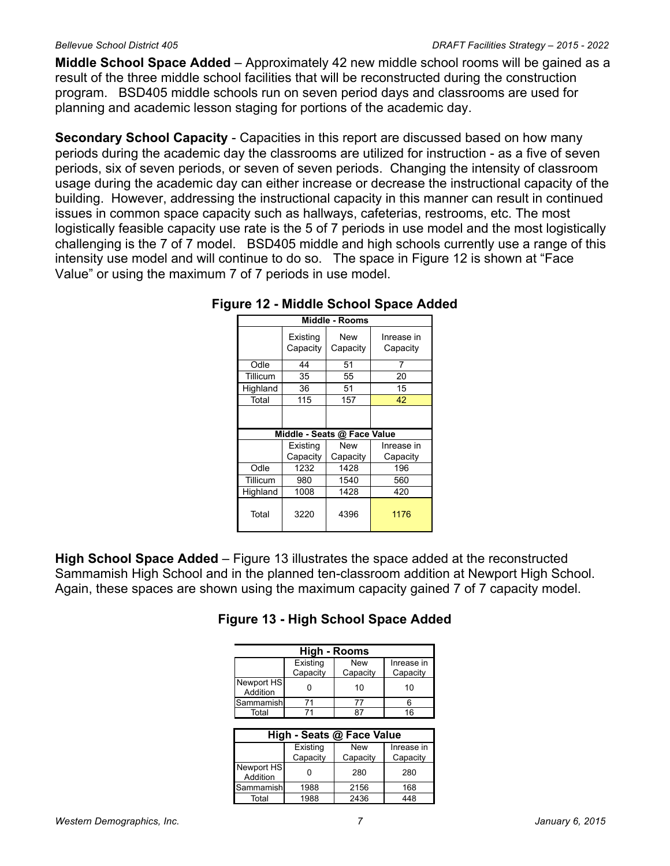**Middle School Space Added** – Approximately 42 new middle school rooms will be gained as a result of the three middle school facilities that will be reconstructed during the construction program. BSD405 middle schools run on seven period days and classrooms are used for planning and academic lesson staging for portions of the academic day.

**Secondary School Capacity** - Capacities in this report are discussed based on how many periods during the academic day the classrooms are utilized for instruction - as a five of seven periods, six of seven periods, or seven of seven periods. Changing the intensity of classroom usage during the academic day can either increase or decrease the instructional capacity of the building. However, addressing the instructional capacity in this manner can result in continued issues in common space capacity such as hallways, cafeterias, restrooms, etc. The most logistically feasible capacity use rate is the 5 of 7 periods in use model and the most logistically challenging is the 7 of 7 model. BSD405 middle and high schools currently use a range of this intensity use model and will continue to do so. The space in Figure 12 is shown at "Face Value" or using the maximum 7 of 7 periods in use model.

|          |                      | Middle - Rooms              |                        |
|----------|----------------------|-----------------------------|------------------------|
|          | Existing<br>Capacity | New<br>Capacity             | Inrease in<br>Capacity |
| Odle     | 44                   | 51                          |                        |
| Tillicum | 35                   | 55                          | 20                     |
| Highland | 36                   | 51                          | 15                     |
| Total    | 115                  | 157                         | 42                     |
|          |                      |                             |                        |
|          |                      | Middle - Seats @ Face Value |                        |
|          | Existing             | <b>New</b>                  | Inrease in             |
|          | Capacity             | Capacity                    | Capacity               |
| Odle     | 1232                 | 1428                        | 196                    |
| Tillicum | 980                  | 1540                        | 560                    |
| Highland | 1008                 | 1428                        | 420                    |
| Total    | 3220                 | 4396                        | 1176                   |

| Figure 12 - Middle School Space Added |
|---------------------------------------|
|---------------------------------------|

**High School Space Added** – Figure 13 illustrates the space added at the reconstructed Sammamish High School and in the planned ten-classroom addition at Newport High School. Again, these spaces are shown using the maximum capacity gained 7 of 7 capacity model.

|  | Figure 13 - High School Space Added |  |
|--|-------------------------------------|--|
|  |                                     |  |

| <b>High - Rooms</b>    |          |            |            |  |  |  |  |  |  |  |
|------------------------|----------|------------|------------|--|--|--|--|--|--|--|
|                        | Existing | <b>New</b> | Inrease in |  |  |  |  |  |  |  |
|                        | Capacity | Capacity   | Capacity   |  |  |  |  |  |  |  |
| Newport HS<br>Addition |          | 10         | 10         |  |  |  |  |  |  |  |
| Sammamish              |          |            |            |  |  |  |  |  |  |  |
| Total                  |          |            | 16         |  |  |  |  |  |  |  |
|                        |          |            |            |  |  |  |  |  |  |  |

| High - Seats @ Face Value |          |          |            |  |  |  |  |  |  |
|---------------------------|----------|----------|------------|--|--|--|--|--|--|
|                           | Existing | New      | Inrease in |  |  |  |  |  |  |
|                           | Capacity | Capacity | Capacity   |  |  |  |  |  |  |
| Newport HS<br>Addition    |          | 280      | 280        |  |  |  |  |  |  |
| Sammamishl                | 1988     | 2156     | 168        |  |  |  |  |  |  |
| Total                     | 1988     | 2436     | 448        |  |  |  |  |  |  |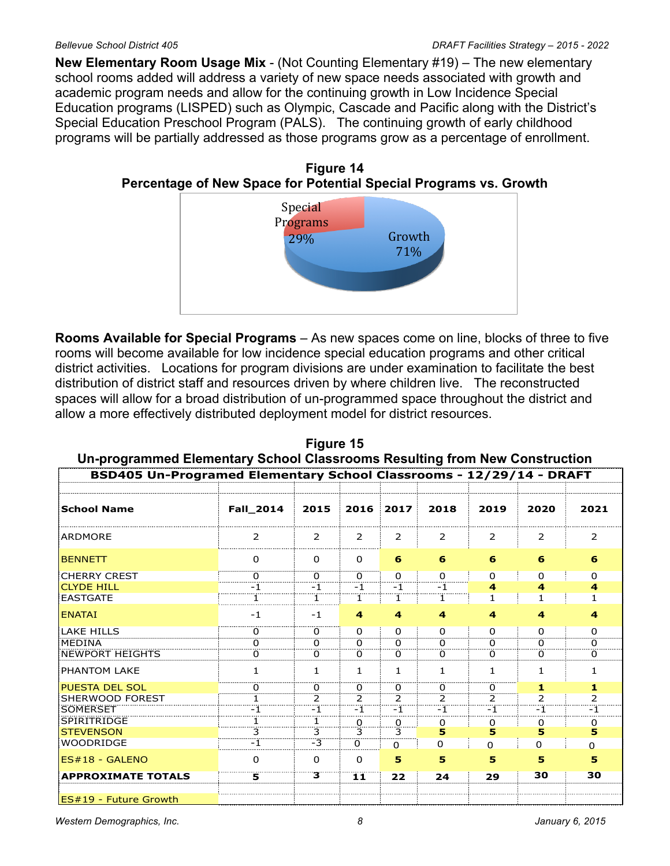**New Elementary Room Usage Mix** - (Not Counting Elementary #19) – The new elementary school rooms added will address a variety of new space needs associated with growth and academic program needs and allow for the continuing growth in Low Incidence Special Education programs (LISPED) such as Olympic, Cascade and Pacific along with the District's Special Education Preschool Program (PALS). The continuing growth of early childhood programs will be partially addressed as those programs grow as a percentage of enrollment.

**Figure 14 Percentage of New Space for Potential Special Programs vs. Growth**



**Rooms Available for Special Programs** – As new spaces come on line, blocks of three to five rooms will become available for low incidence special education programs and other critical district activities. Locations for program divisions are under examination to facilitate the best distribution of district staff and resources driven by where children live. The reconstructed spaces will allow for a broad distribution of un-programmed space throughout the district and allow a more effectively distributed deployment model for district resources.



*Western Demographics, Inc. 8 January 6, 2015*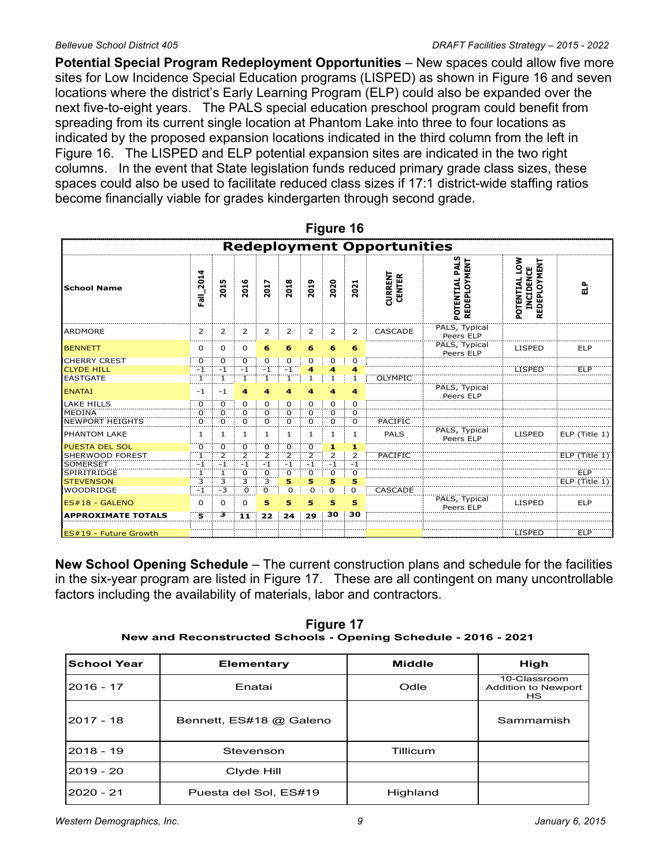**Potential Special Program Redeployment Opportunities** – New spaces could allow five more sites for Low Incidence Special Education programs (LISPED) as shown in Figure 16 and seven locations where the district's Early Learning Program (ELP) could also be expanded over the next five-to-eight years. The PALS special education preschool program could benefit from spreading from its current single location at Phantom Lake into three to four locations as indicated by the proposed expansion locations indicated in the third column from the left in Figure 16. The LISPED and ELP potential expansion sites are indicated in the two right columns. In the event that State legislation funds reduced primary grade class sizes, these spaces could also be used to facilitate reduced class sizes if 17:1 district-wide staffing ratios become financially viable for grades kindergarten through second grade.

| Figure 16                         |                |                      |                  |                |                |                |           |                |                                 |                                       |                                                             |                 |
|-----------------------------------|----------------|----------------------|------------------|----------------|----------------|----------------|-----------|----------------|---------------------------------|---------------------------------------|-------------------------------------------------------------|-----------------|
| <b>Redeployment Opportunities</b> |                |                      |                  |                |                |                |           |                |                                 |                                       |                                                             |                 |
| ÍSchool Name                      | $Fall_2$ 2014  | 2015                 | 2016             | 2017           | 2018           | 2019           | 2020      | 2021           | <b>CURRENT</b><br><b>CENTER</b> | POTENTIAL PALS<br><b>REDEPLOYMENT</b> | <b>NOT</b><br><b>REDEPLOYMENT</b><br>INCIDENCE<br>POTENTIAL | 읍               |
| ARDMORE                           | 2              | 2                    | 2                | 2              | 2              | 2              | 2         | 2              | CASCADE                         | PALS, Typical<br>Peers ELP            |                                                             |                 |
| <b>BENNETT</b>                    | 0              | 0                    | 0                | 6              |                |                |           | 6              |                                 | PALS, Typical<br>Peers ELP            | <b>LISPED</b>                                               | <b>ELP</b>      |
| <b>CHERRY CREST</b>               | 0              | 0                    | 0                | 0              | 0              | 0              | 0         | 0              |                                 |                                       |                                                             |                 |
| <b>CLYDE HILL</b><br>EASTGATE     | $-1$<br>ï      | $-1$<br>ï            | $-1$             | $-1$           | $-1$           | 1              | 1         | 4<br>1         | OLYMPIC                         |                                       | <b>LISPED</b>                                               | <b>ELP</b>      |
| <b>ENATAI</b>                     | $-1$           | $-1$                 |                  |                |                |                |           | 4              |                                 | PALS, Typical<br>Peers ELP            |                                                             |                 |
| LAKE HILLS                        | 0              | 0                    | 0                | $\Omega$       | O              | O              | 0         | 0              |                                 |                                       |                                                             |                 |
| MEDINA<br><b>NEWPORT HEIGHTS</b>  | 0<br>ö         | 0<br>ö               | 0<br>0           | 0<br>ö         | 0<br>0         | 0<br>0         | 0<br>0    | 0<br>0         | PACIFIC                         |                                       |                                                             |                 |
| <b>PHANTOM LAKE</b>               | 1              | $\mathbf{1}$         | 1                | 1              | 1              | $\mathbf{1}$   | 1         | 1              | <b>PALS</b>                     | PALS, Typical<br>Peers ELP            | <b>LISPED</b>                                               | $ELP$ (Title 1) |
| <b>PUESTA DEL SOL</b>             | 0              | 0                    | 0                | 0              | 0              | 0              | 1         | 1              |                                 |                                       |                                                             |                 |
| <b>SHERWOOD FOREST</b>            | $\mathbf{1}$   | $\overline{2}$       | $\overline{2}$   | $\overline{2}$ | $\overline{2}$ | $\overline{2}$ | 2         | $\overline{2}$ | <b>PACIFIC</b>                  |                                       |                                                             | ELP (Title 1)   |
| SOMERSET<br>SPIRITRIDGE           | $-1$<br>1      | $-1$<br>$\mathbf{1}$ | $-1$<br>$\Omega$ | $-1$<br>0      | $-1$<br>0      | $-1$<br>0      | $-1$<br>0 | $-1$<br>0      |                                 |                                       |                                                             | <b>ELP</b>      |
| <b>STEVENSON</b>                  | $\overline{3}$ | $\overline{3}$       | $\overline{3}$   | $\overline{3}$ | 5              | 5              | 5         | 5              |                                 |                                       |                                                             | ELP (Title 1)   |
| WOODRIDGE                         | $\mathbb{H}$   | $-3$                 | 0                | Ő              | 0              | 0              | $\Omega$  | 0              | <b>CASCADE</b>                  |                                       |                                                             |                 |
| ES#18 - GALENO                    | $\Omega$       | 0                    | $\Omega$         | 5              | 5              | 5              | 5         | 5              |                                 | PALS, Typical<br>Peers ELP            | <b>LISPED</b>                                               | <b>ELP</b>      |
| <b>APPROXIMATE TOTALS</b>         | 5              | з                    | 11               | 22             | 24             | 29             | 30        | 30             |                                 |                                       |                                                             |                 |
| ES#19 - Future Growth             |                |                      |                  |                |                |                |           |                |                                 |                                       | <b>LISPED</b>                                               | ELP             |

**New School Opening Schedule** – The current construction plans and schedule for the facilities in the six-year program are listed in Figure 17. These are all contingent on many uncontrollable factors including the availability of materials, labor and contractors.

**Figure 17 New and Reconstructed Schools - Opening Schedule - 2016 - 2021**

| <b>School Year</b> | <b>Elementary</b>       | <b>Middle</b> | High                                                    |
|--------------------|-------------------------|---------------|---------------------------------------------------------|
| 2016 - 17          | Enatai                  | Odle          | 10-Classroom<br><b>Addition to Newport</b><br><b>HS</b> |
| 2017 - 18          | Bennett, ES#18 @ Galeno |               | Sammamish                                               |
| 2018 - 19          | Stevenson               | Tillicum      |                                                         |
| $2019 - 20$        | Clyde Hill              |               |                                                         |
| $2020 - 21$        | Puesta del Sol, ES#19   | Highland      |                                                         |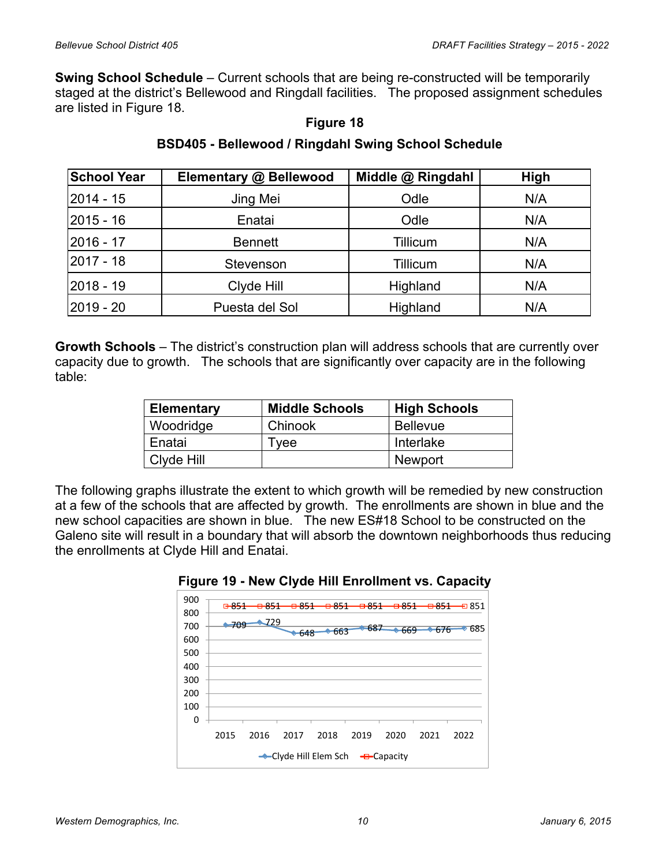**Swing School Schedule** – Current schools that are being re-constructed will be temporarily staged at the district's Bellewood and Ringdall facilities. The proposed assignment schedules are listed in Figure 18.

## **Figure 18**

# **BSD405 - Bellewood / Ringdahl Swing School Schedule**

| <b>School Year</b> | Elementary @ Bellewood | Middle @ Ringdahl | High |
|--------------------|------------------------|-------------------|------|
| 2014 - 15          | Jing Mei               | Odle              | N/A  |
| 2015 - 16          | Enatai                 | Odle              | N/A  |
| 2016 - 17          | <b>Bennett</b>         | Tillicum          | N/A  |
| l2017 - 18         | Stevenson              | Tillicum          | N/A  |
| 2018 - 19          | Clyde Hill             | Highland          | N/A  |
| 2019 - 20          | Puesta del Sol         | Highland          | N/A  |

**Growth Schools** – The district's construction plan will address schools that are currently over capacity due to growth. The schools that are significantly over capacity are in the following table:

| <b>Elementary</b> | <b>Middle Schools</b> | <b>High Schools</b> |
|-------------------|-----------------------|---------------------|
| Woodridge         | Chinook               | <b>Bellevue</b>     |
| Enatai            | l vee                 | Interlake           |
| Clyde Hill        |                       | Newport             |

The following graphs illustrate the extent to which growth will be remedied by new construction at a few of the schools that are affected by growth. The enrollments are shown in blue and the new school capacities are shown in blue. The new ES#18 School to be constructed on the Galeno site will result in a boundary that will absorb the downtown neighborhoods thus reducing the enrollments at Clyde Hill and Enatai.



#### **Figure 19 - New Clyde Hill Enrollment vs. Capacity**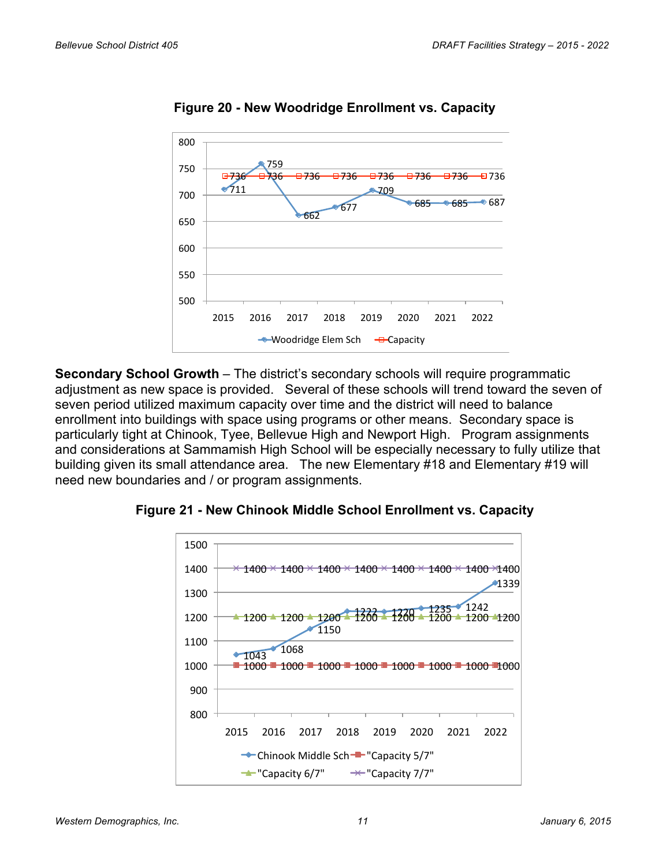

**Figure 20 - New Woodridge Enrollment vs. Capacity**

**Secondary School Growth** – The district's secondary schools will require programmatic adjustment as new space is provided. Several of these schools will trend toward the seven of seven period utilized maximum capacity over time and the district will need to balance enrollment into buildings with space using programs or other means. Secondary space is particularly tight at Chinook, Tyee, Bellevue High and Newport High. Program assignments and considerations at Sammamish High School will be especially necessary to fully utilize that building given its small attendance area. The new Elementary #18 and Elementary #19 will need new boundaries and / or program assignments.



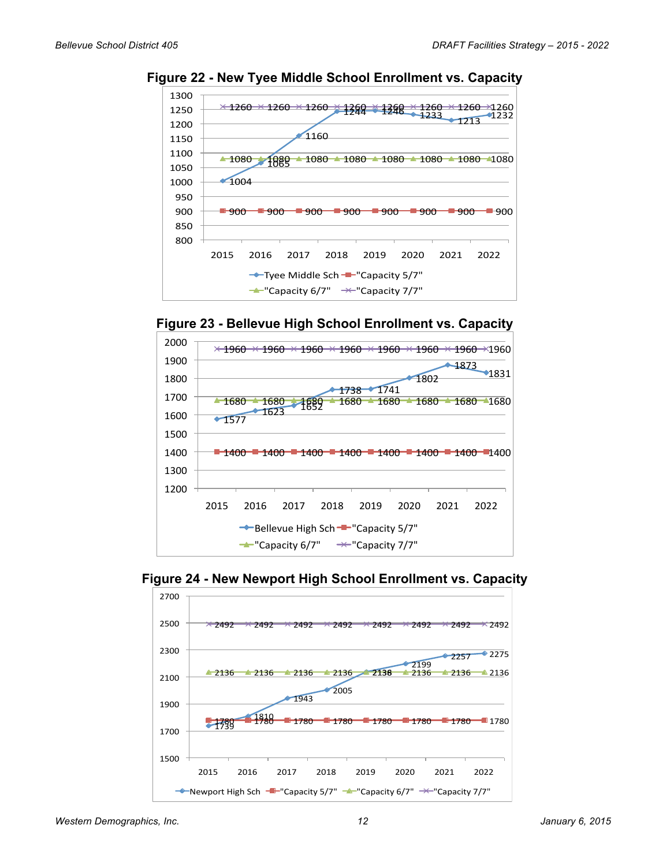

**Figure 22 - New Tyee Middle School Enrollment vs. Capacity**







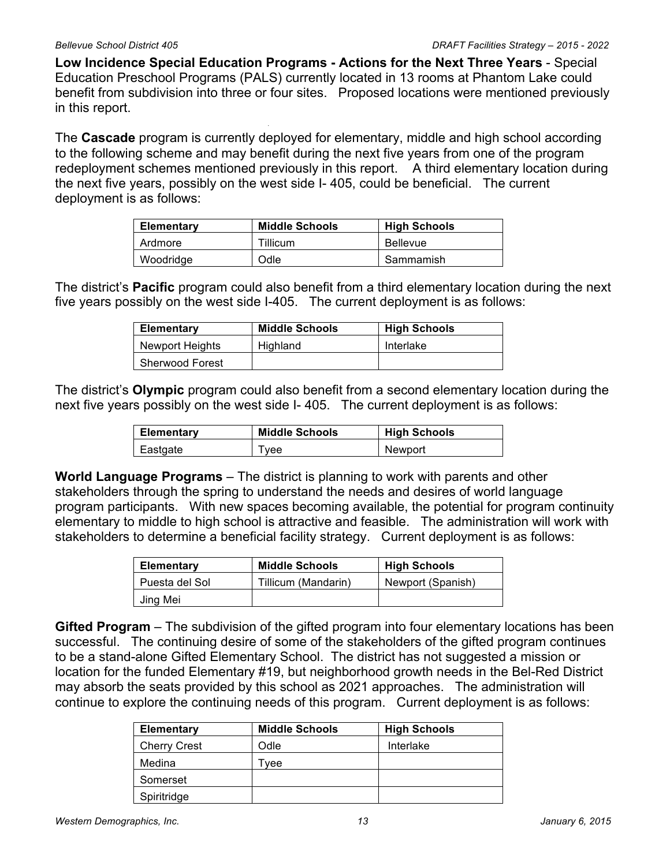**Low Incidence Special Education Programs - Actions for the Next Three Years** - Special Education Preschool Programs (PALS) currently located in 13 rooms at Phantom Lake could benefit from subdivision into three or four sites. Proposed locations were mentioned previously in this report.

The **Cascade** program is currently deployed for elementary, middle and high school according to the following scheme and may benefit during the next five years from one of the program redeployment schemes mentioned previously in this report. A third elementary location during the next five years, possibly on the west side I- 405, could be beneficial. The current deployment is as follows:

| <b>Elementary</b> | <b>Middle Schools</b> | <b>High Schools</b> |
|-------------------|-----------------------|---------------------|
| Ardmore           | Tillicum              | <b>Bellevue</b>     |
| Woodridge         | Odle                  | Sammamish           |

The district's **Pacific** program could also benefit from a third elementary location during the next five years possibly on the west side I-405. The current deployment is as follows:

| <b>Elementary</b>      | <b>Middle Schools</b> | <b>High Schools</b> |
|------------------------|-----------------------|---------------------|
| Newport Heights        | Highland              | Interlake           |
| <b>Sherwood Forest</b> |                       |                     |

The district's **Olympic** program could also benefit from a second elementary location during the next five years possibly on the west side I- 405. The current deployment is as follows:

| <b>Elementary</b> | <b>Middle Schools</b> | <b>High Schools</b> |
|-------------------|-----------------------|---------------------|
| Eastgate          | Tvee                  | Newport             |

**World Language Programs** – The district is planning to work with parents and other stakeholders through the spring to understand the needs and desires of world language program participants. With new spaces becoming available, the potential for program continuity elementary to middle to high school is attractive and feasible. The administration will work with stakeholders to determine a beneficial facility strategy. Current deployment is as follows:

| Elementary     | <b>Middle Schools</b> | <b>High Schools</b> |
|----------------|-----------------------|---------------------|
| Puesta del Sol | Tillicum (Mandarin)   | Newport (Spanish)   |
| Jing Mei       |                       |                     |

**Gifted Program** – The subdivision of the gifted program into four elementary locations has been successful. The continuing desire of some of the stakeholders of the gifted program continues to be a stand-alone Gifted Elementary School. The district has not suggested a mission or location for the funded Elementary #19, but neighborhood growth needs in the Bel-Red District may absorb the seats provided by this school as 2021 approaches. The administration will continue to explore the continuing needs of this program. Current deployment is as follows:

| Elementary          | <b>Middle Schools</b> | <b>High Schools</b> |
|---------------------|-----------------------|---------------------|
| <b>Cherry Crest</b> | Odle                  | Interlake           |
| Medina              | vee                   |                     |
| Somerset            |                       |                     |
| Spiritridge         |                       |                     |